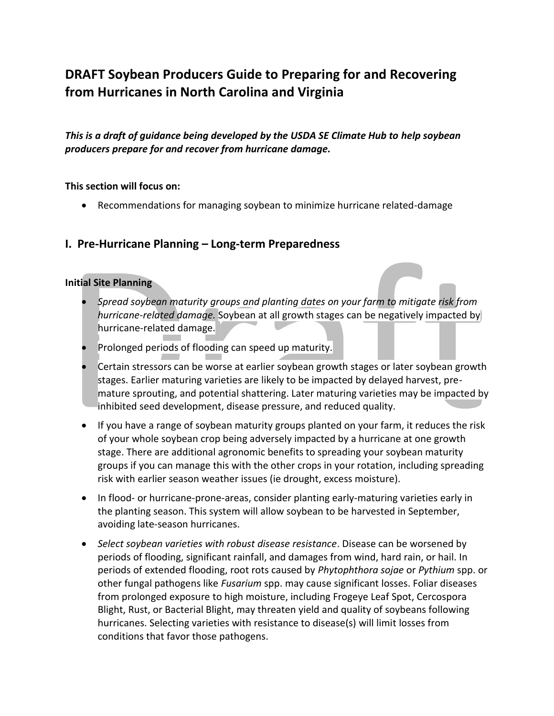# **DRAFT Soybean Producers Guide to Preparing for and Recovering from Hurricanes in North Carolina and Virginia**

*This is a draft of guidance being developed by the USDA SE Climate Hub to help soybean producers prepare for and recover from hurricane damage.*

#### **This section will focus on:**

Recommendations for managing soybean to minimize hurricane related-damage

## **I. Pre-Hurricane Planning – Long-term Preparedness**

#### **Initial Site Planning**

- *Spread soybean maturity groups and planting dates on your farm to mitigate risk from hurricane-related damage.* Soybean at all growth stages can be negatively impacted by hurricane-related damage.
- Prolonged periods of flooding can speed up maturity.
- Certain stressors can be worse at earlier soybean growth stages or later soybean growth stages. Earlier maturing varieties are likely to be impacted by delayed harvest, premature sprouting, and potential shattering. Later maturing varieties may be impacted by inhibited seed development, disease pressure, and reduced quality.
- If you have a range of soybean maturity groups planted on your farm, it reduces the risk of your whole soybean crop being adversely impacted by a hurricane at one growth stage. There are additional agronomic benefits to spreading your soybean maturity groups if you can manage this with the other crops in your rotation, including spreading risk with earlier season weather issues (ie drought, excess moisture).
- In flood- or hurricane-prone-areas, consider planting early-maturing varieties early in the planting season. This system will allow soybean to be harvested in September, avoiding late-season hurricanes.
- *Select soybean varieties with robust disease resistance*. Disease can be worsened by periods of flooding, significant rainfall, and damages from wind, hard rain, or hail. In periods of extended flooding, root rots caused by *Phytophthora sojae* or *Pythium* spp. or other fungal pathogens like *Fusarium* spp. may cause significant losses. Foliar diseases from prolonged exposure to high moisture, including Frogeye Leaf Spot, Cercospora Blight, Rust, or Bacterial Blight, may threaten yield and quality of soybeans following hurricanes. Selecting varieties with resistance to disease(s) will limit losses from conditions that favor those pathogens.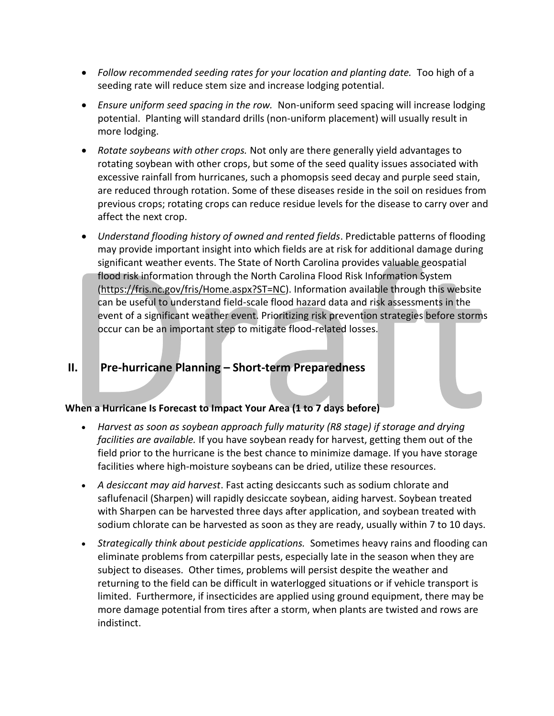- *Follow recommended seeding rates for your location and planting date.* Too high of a seeding rate will reduce stem size and increase lodging potential.
- *Ensure uniform seed spacing in the row.* Non-uniform seed spacing will increase lodging potential. Planting will standard drills (non-uniform placement) will usually result in more lodging.
- *Rotate soybeans with other crops.* Not only are there generally yield advantages to rotating soybean with other crops, but some of the seed quality issues associated with excessive rainfall from hurricanes, such a phomopsis seed decay and purple seed stain, are reduced through rotation. Some of these diseases reside in the soil on residues from previous crops; rotating crops can reduce residue levels for the disease to carry over and affect the next crop.
- *Understand flooding history of owned and rented fields*. Predictable patterns of flooding may provide important insight into which fields are at risk for additional damage during significant weather events. The State of North Carolina provides valuable geospatial flood risk information through the North Carolina Flood Risk Information System [\(https://fris.nc.gov/fris/Home.aspx?ST=NC\)](https://fris.nc.gov/fris/Home.aspx?ST=NC). Information available through this website can be useful to understand field-scale flood hazard data and risk assessments in the event of a significant weather event. Prioritizing risk prevention strategies before storms occur can be an important step to mitigate flood-related losses.

## **II. Pre-hurricane Planning – Short-term Preparedness**

## **When a Hurricane Is Forecast to Impact Your Area (1 to 7 days before)**

- *Harvest as soon as soybean approach fully maturity (R8 stage) if storage and drying facilities are available.* If you have soybean ready for harvest, getting them out of the field prior to the hurricane is the best chance to minimize damage. If you have storage facilities where high-moisture soybeans can be dried, utilize these resources.
- *A desiccant may aid harvest*. Fast acting desiccants such as sodium chlorate and saflufenacil (Sharpen) will rapidly desiccate soybean, aiding harvest. Soybean treated with Sharpen can be harvested three days after application, and soybean treated with sodium chlorate can be harvested as soon as they are ready, usually within 7 to 10 days.
- *Strategically think about pesticide applications.* Sometimes heavy rains and flooding can eliminate problems from caterpillar pests, especially late in the season when they are subject to diseases. Other times, problems will persist despite the weather and returning to the field can be difficult in waterlogged situations or if vehicle transport is limited. Furthermore, if insecticides are applied using ground equipment, there may be more damage potential from tires after a storm, when plants are twisted and rows are indistinct.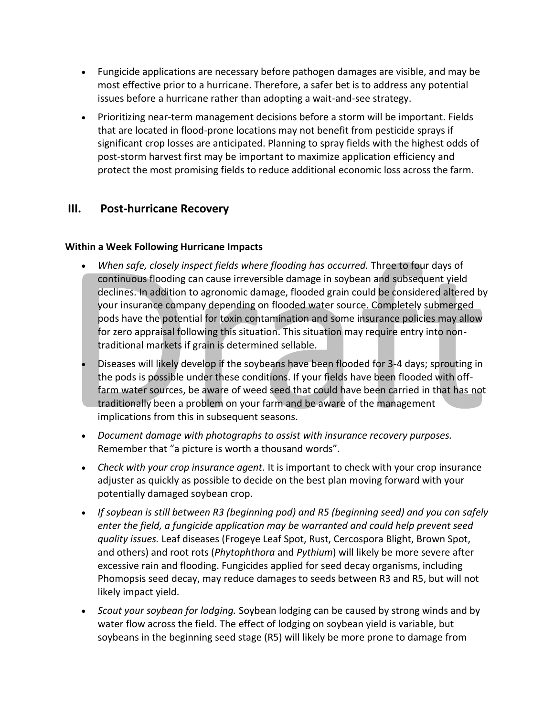- Fungicide applications are necessary before pathogen damages are visible, and may be most effective prior to a hurricane. Therefore, a safer bet is to address any potential issues before a hurricane rather than adopting a wait-and-see strategy.
- Prioritizing near-term management decisions before a storm will be important. Fields that are located in flood-prone locations may not benefit from pesticide sprays if significant crop losses are anticipated. Planning to spray fields with the highest odds of post-storm harvest first may be important to maximize application efficiency and protect the most promising fields to reduce additional economic loss across the farm.

# **III. Post-hurricane Recovery**

## **Within a Week Following Hurricane Impacts**

- *When safe, closely inspect fields where flooding has occurred.* Three to four days of continuous flooding can cause irreversible damage in soybean and subsequent yield declines. In addition to agronomic damage, flooded grain could be considered altered by your insurance company depending on flooded water source. Completely submerged pods have the potential for toxin contamination and some insurance policies may allow for zero appraisal following this situation. This situation may require entry into nontraditional markets if grain is determined sellable.
- Diseases will likely develop if the soybeans have been flooded for 3-4 days; sprouting in the pods is possible under these conditions. If your fields have been flooded with offfarm water sources, be aware of weed seed that could have been carried in that has not traditionally been a problem on your farm and be aware of the management implications from this in subsequent seasons.
- *Document damage with photographs to assist with insurance recovery purposes.*  Remember that "a picture is worth a thousand words".
- *Check with your crop insurance agent.* It is important to check with your crop insurance adjuster as quickly as possible to decide on the best plan moving forward with your potentially damaged soybean crop.
- *If soybean is still between R3 (beginning pod) and R5 (beginning seed) and you can safely enter the field, a fungicide application may be warranted and could help prevent seed quality issues.* Leaf diseases (Frogeye Leaf Spot, Rust, Cercospora Blight, Brown Spot, and others) and root rots (*Phytophthora* and *Pythium*) will likely be more severe after excessive rain and flooding. Fungicides applied for seed decay organisms, including Phomopsis seed decay, may reduce damages to seeds between R3 and R5, but will not likely impact yield.
- *Scout your soybean for lodging.* Soybean lodging can be caused by strong winds and by water flow across the field. The effect of lodging on soybean yield is variable, but soybeans in the beginning seed stage (R5) will likely be more prone to damage from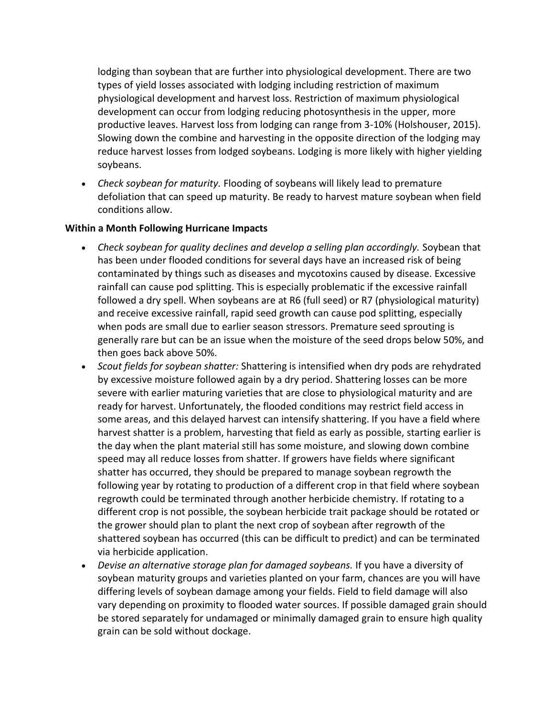lodging than soybean that are further into physiological development. There are two types of yield losses associated with lodging including restriction of maximum physiological development and harvest loss. Restriction of maximum physiological development can occur from lodging reducing photosynthesis in the upper, more productive leaves. Harvest loss from lodging can range from 3-10% (Holshouser, 2015). Slowing down the combine and harvesting in the opposite direction of the lodging may reduce harvest losses from lodged soybeans. Lodging is more likely with higher yielding soybeans.

 *Check soybean for maturity.* Flooding of soybeans will likely lead to premature defoliation that can speed up maturity. Be ready to harvest mature soybean when field conditions allow.

#### **Within a Month Following Hurricane Impacts**

- *Check soybean for quality declines and develop a selling plan accordingly.* Soybean that has been under flooded conditions for several days have an increased risk of being contaminated by things such as diseases and mycotoxins caused by disease. Excessive rainfall can cause pod splitting. This is especially problematic if the excessive rainfall followed a dry spell. When soybeans are at R6 (full seed) or R7 (physiological maturity) and receive excessive rainfall, rapid seed growth can cause pod splitting, especially when pods are small due to earlier season stressors. Premature seed sprouting is generally rare but can be an issue when the moisture of the seed drops below 50%, and then goes back above 50%.
- *Scout fields for soybean shatter:* Shattering is intensified when dry pods are rehydrated by excessive moisture followed again by a dry period. Shattering losses can be more severe with earlier maturing varieties that are close to physiological maturity and are ready for harvest. Unfortunately, the flooded conditions may restrict field access in some areas, and this delayed harvest can intensify shattering. If you have a field where harvest shatter is a problem, harvesting that field as early as possible, starting earlier is the day when the plant material still has some moisture, and slowing down combine speed may all reduce losses from shatter. If growers have fields where significant shatter has occurred, they should be prepared to manage soybean regrowth the following year by rotating to production of a different crop in that field where soybean regrowth could be terminated through another herbicide chemistry. If rotating to a different crop is not possible, the soybean herbicide trait package should be rotated or the grower should plan to plant the next crop of soybean after regrowth of the shattered soybean has occurred (this can be difficult to predict) and can be terminated via herbicide application.
- *Devise an alternative storage plan for damaged soybeans.* If you have a diversity of soybean maturity groups and varieties planted on your farm, chances are you will have differing levels of soybean damage among your fields. Field to field damage will also vary depending on proximity to flooded water sources. If possible damaged grain should be stored separately for undamaged or minimally damaged grain to ensure high quality grain can be sold without dockage.